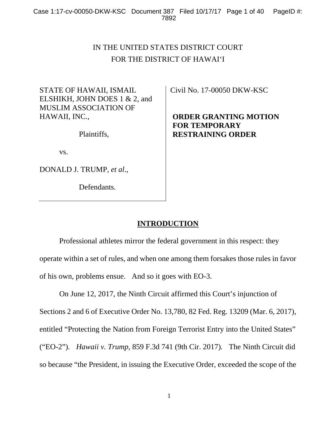# IN THE UNITED STATES DISTRICT COURT FOR THE DISTRICT OF HAWAI'I

STATE OF HAWAII, ISMAIL ELSHIKH, JOHN DOES 1 & 2, and MUSLIM ASSOCIATION OF HAWAII, INC.,

Plaintiffs,

vs.

DONALD J. TRUMP, *et al*.,

Defendants.

Civil No. 17-00050 DKW-KSC

## **ORDER GRANTING MOTION FOR TEMPORARY RESTRAINING ORDER**

## **INTRODUCTION**

 Professional athletes mirror the federal government in this respect: they operate within a set of rules, and when one among them forsakes those rules in favor of his own, problems ensue. And so it goes with EO-3.

 On June 12, 2017, the Ninth Circuit affirmed this Court's injunction of Sections 2 and 6 of Executive Order No. 13,780, 82 Fed. Reg. 13209 (Mar. 6, 2017), entitled "Protecting the Nation from Foreign Terrorist Entry into the United States" ("EO-2"). *Hawaii v. Trump,* 859 F.3d 741 (9th Cir. 2017)*.* The Ninth Circuit did so because "the President, in issuing the Executive Order, exceeded the scope of the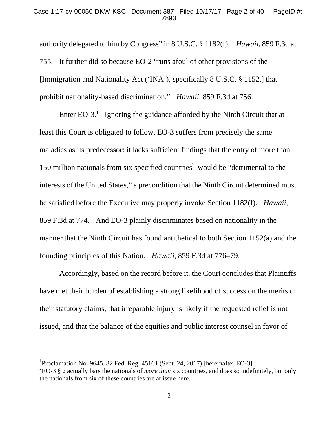authority delegated to him by Congress" in 8 U.S.C. § 1182(f). *Hawaii,* 859 F.3d at 755. It further did so because EO-2 "runs afoul of other provisions of the [Immigration and Nationality Act ('INA'), specifically 8 U.S.C. § 1152,] that prohibit nationality-based discrimination." *Hawaii,* 859 F.3d at 756.

Enter EO-3.<sup>1</sup> Ignoring the guidance afforded by the Ninth Circuit that at least this Court is obligated to follow, EO-3 suffers from precisely the same maladies as its predecessor: it lacks sufficient findings that the entry of more than 150 million nationals from six specified countries<sup>2</sup> would be "detrimental to the interests of the United States," a precondition that the Ninth Circuit determined must be satisfied before the Executive may properly invoke Section 1182(f). *Hawaii,* 859 F.3d at 774. And EO-3 plainly discriminates based on nationality in the manner that the Ninth Circuit has found antithetical to both Section 1152(a) and the founding principles of this Nation. *Hawaii*, 859 F.3d at 776–79.

 Accordingly, based on the record before it, the Court concludes that Plaintiffs have met their burden of establishing a strong likelihood of success on the merits of their statutory claims, that irreparable injury is likely if the requested relief is not issued, and that the balance of the equities and public interest counsel in favor of

 $\overline{a}$ 

<sup>&</sup>lt;sup>1</sup>Proclamation No. 9645, 82 Fed. Reg. 45161 (Sept. 24, 2017) [hereinafter EO-3].

<sup>2</sup> EO-3 § 2 actually bars the nationals of *more than* six countries, and does so indefinitely, but only the nationals from six of these countries are at issue here.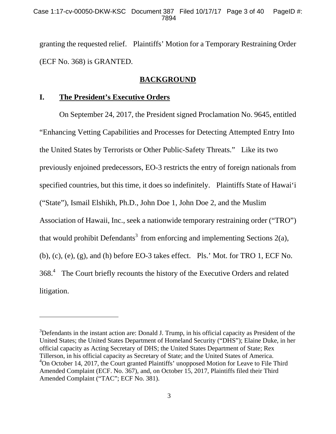granting the requested relief. Plaintiffs' Motion for a Temporary Restraining Order (ECF No. 368) is GRANTED.

## **BACKGROUND**

## **I. The President's Executive Orders**

-

 On September 24, 2017, the President signed Proclamation No. 9645, entitled "Enhancing Vetting Capabilities and Processes for Detecting Attempted Entry Into the United States by Terrorists or Other Public-Safety Threats." Like its two previously enjoined predecessors, EO-3 restricts the entry of foreign nationals from specified countries, but this time, it does so indefinitely. Plaintiffs State of Hawai'i ("State"), Ismail Elshikh, Ph.D., John Doe 1, John Doe 2, and the Muslim Association of Hawaii, Inc., seek a nationwide temporary restraining order ("TRO") that would prohibit Defendants<sup>3</sup> from enforcing and implementing Sections 2(a), (b), (c), (e), (g), and (h) before EO-3 takes effect. Pls.' Mot. for TRO 1, ECF No. 368.<sup>4</sup> The Court briefly recounts the history of the Executive Orders and related litigation.

 $3$ Defendants in the instant action are: Donald J. Trump, in his official capacity as President of the United States; the United States Department of Homeland Security ("DHS"); Elaine Duke, in her official capacity as Acting Secretary of DHS; the United States Department of State; Rex Tillerson, in his official capacity as Secretary of State; and the United States of America. <sup>4</sup>On October 14, 2017, the Court granted Plaintiffs' unopposed Motion for Leave to File Third Amended Complaint (ECF. No. 367), and, on October 15, 2017, Plaintiffs filed their Third Amended Complaint ("TAC"; ECF No. 381).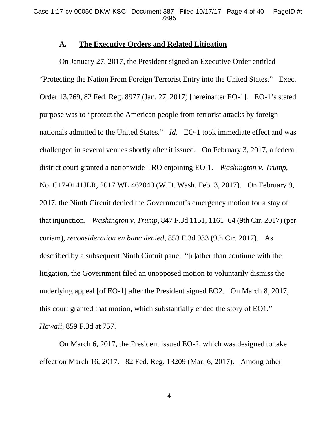#### **A. The Executive Orders and Related Litigation**

 On January 27, 2017, the President signed an Executive Order entitled "Protecting the Nation From Foreign Terrorist Entry into the United States." Exec. Order 13,769, 82 Fed. Reg. 8977 (Jan. 27, 2017) [hereinafter EO-1]. EO-1's stated purpose was to "protect the American people from terrorist attacks by foreign nationals admitted to the United States." *Id*. EO-1 took immediate effect and was challenged in several venues shortly after it issued. On February 3, 2017, a federal district court granted a nationwide TRO enjoining EO-1. *Washington v. Trump*, No. C17-0141JLR, 2017 WL 462040 (W.D. Wash. Feb. 3, 2017). On February 9, 2017, the Ninth Circuit denied the Government's emergency motion for a stay of that injunction. *Washington v. Trump*, 847 F.3d 1151, 1161–64 (9th Cir. 2017) (per curiam), *reconsideration en banc denied*, 853 F.3d 933 (9th Cir. 2017). As described by a subsequent Ninth Circuit panel, "[r]ather than continue with the litigation, the Government filed an unopposed motion to voluntarily dismiss the underlying appeal [of EO-1] after the President signed EO2. On March 8, 2017, this court granted that motion, which substantially ended the story of EO1." *Hawaii*, 859 F.3d at 757.

 On March 6, 2017, the President issued EO-2, which was designed to take effect on March 16, 2017. 82 Fed. Reg. 13209 (Mar. 6, 2017). Among other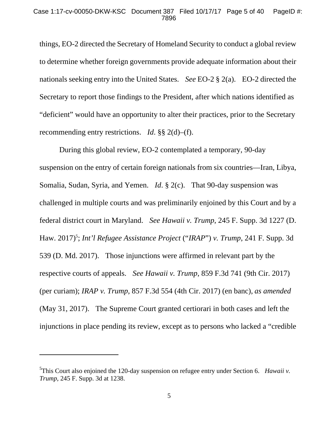things, EO-2 directed the Secretary of Homeland Security to conduct a global review to determine whether foreign governments provide adequate information about their nationals seeking entry into the United States. *See* EO-2 § 2(a). EO-2 directed the Secretary to report those findings to the President, after which nations identified as "deficient" would have an opportunity to alter their practices, prior to the Secretary recommending entry restrictions. *Id*. §§ 2(d)–(f).

 During this global review, EO-2 contemplated a temporary, 90-day suspension on the entry of certain foreign nationals from six countries—Iran, Libya, Somalia, Sudan, Syria, and Yemen. *Id*. § 2(c). That 90-day suspension was challenged in multiple courts and was preliminarily enjoined by this Court and by a federal district court in Maryland. *See Hawaii v. Trump*, 245 F. Supp. 3d 1227 (D. Haw. 2017)<sup>5</sup>; *Int'l Refugee Assistance Project* ("*IRAP*") *v. Trump*, 241 F. Supp. 3d 539 (D. Md. 2017). Those injunctions were affirmed in relevant part by the respective courts of appeals. *See Hawaii v. Trump*, 859 F.3d 741 (9th Cir. 2017) (per curiam); *IRAP v. Trump*, 857 F.3d 554 (4th Cir. 2017) (en banc), *as amended* (May 31, 2017). The Supreme Court granted certiorari in both cases and left the injunctions in place pending its review, except as to persons who lacked a "credible

 $\overline{a}$ 

<sup>5</sup> This Court also enjoined the 120-day suspension on refugee entry under Section 6. *Hawaii v. Trump*, 245 F. Supp. 3d at 1238.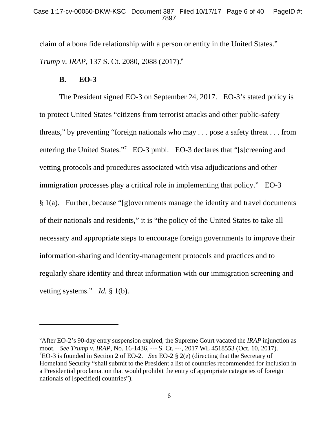claim of a bona fide relationship with a person or entity in the United States." *Trump v. IRAP*, 137 S. Ct. 2080, 2088 (2017).6

## **B. EO-3**

 $\overline{a}$ 

 The President signed EO-3 on September 24, 2017. EO-3's stated policy is to protect United States "citizens from terrorist attacks and other public-safety threats," by preventing "foreign nationals who may . . . pose a safety threat . . . from entering the United States."<sup>7</sup> EO-3 pmbl. EO-3 declares that "[s]creening and vetting protocols and procedures associated with visa adjudications and other immigration processes play a critical role in implementing that policy." EO-3  $§$  1(a). Further, because "[g]overnments manage the identity and travel documents of their nationals and residents," it is "the policy of the United States to take all necessary and appropriate steps to encourage foreign governments to improve their information-sharing and identity-management protocols and practices and to regularly share identity and threat information with our immigration screening and vetting systems." *Id.* § 1(b).

<sup>6</sup> After EO-2's 90-day entry suspension expired, the Supreme Court vacated the *IRAP* injunction as moot. *See Trump v. IRAP*, No. 16-1436, --- S. Ct. ---, 2017 WL 4518553 (Oct. 10, 2017). 7 EO-3 is founded in Section 2 of EO-2. *See* EO-2 § 2(e) (directing that the Secretary of Homeland Security "shall submit to the President a list of countries recommended for inclusion in a Presidential proclamation that would prohibit the entry of appropriate categories of foreign nationals of [specified] countries").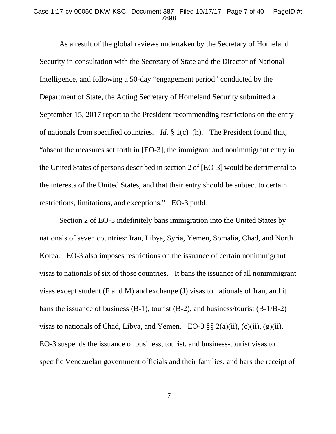#### Case 1:17-cv-00050-DKW-KSC Document 387 Filed 10/17/17 Page 7 of 40 PageID #: 7898

 As a result of the global reviews undertaken by the Secretary of Homeland Security in consultation with the Secretary of State and the Director of National Intelligence, and following a 50-day "engagement period" conducted by the Department of State, the Acting Secretary of Homeland Security submitted a September 15, 2017 report to the President recommending restrictions on the entry of nationals from specified countries. *Id.* § 1(c)–(h). The President found that, "absent the measures set forth in [EO-3], the immigrant and nonimmigrant entry in the United States of persons described in section 2 of [EO-3] would be detrimental to the interests of the United States, and that their entry should be subject to certain restrictions, limitations, and exceptions." EO-3 pmbl.

 Section 2 of EO-3 indefinitely bans immigration into the United States by nationals of seven countries: Iran, Libya, Syria, Yemen, Somalia, Chad, and North Korea. EO-3 also imposes restrictions on the issuance of certain nonimmigrant visas to nationals of six of those countries. It bans the issuance of all nonimmigrant visas except student (F and M) and exchange (J) visas to nationals of Iran, and it bans the issuance of business (B-1), tourist (B-2), and business/tourist (B-1/B-2) visas to nationals of Chad, Libya, and Yemen. EO-3  $\S$ § 2(a)(ii), (c)(ii), (g)(ii). EO-3 suspends the issuance of business, tourist, and business-tourist visas to specific Venezuelan government officials and their families, and bars the receipt of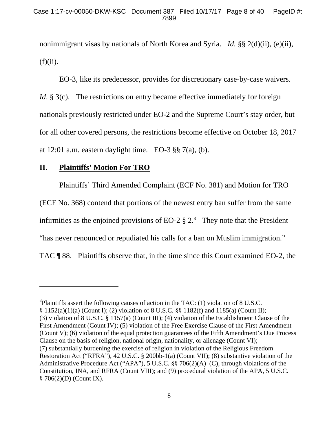nonimmigrant visas by nationals of North Korea and Syria. *Id.* §§ 2(d)(ii), (e)(ii),  $(f)(ii)$ .

 EO-3, like its predecessor, provides for discretionary case-by-case waivers. *Id.* § 3(c). The restrictions on entry became effective immediately for foreign nationals previously restricted under EO-2 and the Supreme Court's stay order, but for all other covered persons, the restrictions become effective on October 18, 2017 at 12:01 a.m. eastern daylight time. EO-3  $\S$ § 7(a), (b).

## **II. Plaintiffs' Motion For TRO**

-

Plaintiffs' Third Amended Complaint (ECF No. 381) and Motion for TRO

(ECF No. 368) contend that portions of the newest entry ban suffer from the same

infirmities as the enjoined provisions of EO-2  $\S 2$ .<sup>8</sup> They note that the President

"has never renounced or repudiated his calls for a ban on Muslim immigration."

TAC ¶ 88. Plaintiffs observe that, in the time since this Court examined EO-2, the

<sup>&</sup>lt;sup>8</sup>Plaintiffs assert the following causes of action in the TAC: (1) violation of 8 U.S.C. § 1152(a)(1)(a) (Count I); (2) violation of 8 U.S.C. §§ 1182(f) and 1185(a) (Count II); (3) violation of 8 U.S.C. § 1157(a) (Count III); (4) violation of the Establishment Clause of the First Amendment (Count IV); (5) violation of the Free Exercise Clause of the First Amendment (Count V); (6) violation of the equal protection guarantees of the Fifth Amendment's Due Process Clause on the basis of religion, national origin, nationality, or alienage (Count VI); (7) substantially burdening the exercise of religion in violation of the Religious Freedom Restoration Act ("RFRA"), 42 U.S.C. § 200bb-1(a) (Count VII); (8) substantive violation of the Administrative Procedure Act ("APA"), 5 U.S.C. §§ 706(2)(A)–(C), through violations of the Constitution, INA, and RFRA (Count VIII); and (9) procedural violation of the APA, 5 U.S.C. § 706(2)(D) (Count IX).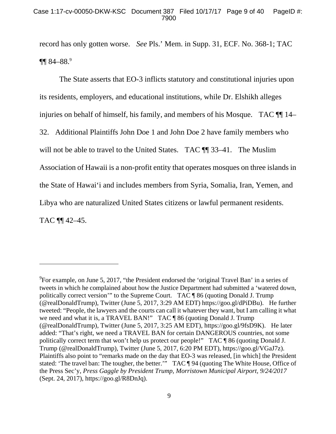record has only gotten worse. *See* Pls.' Mem. in Supp. 31, ECF. No. 368-1; TAC  $\P\P$  84–88.9

 The State asserts that EO-3 inflicts statutory and constitutional injuries upon its residents, employers, and educational institutions, while Dr. Elshikh alleges injuries on behalf of himself, his family, and members of his Mosque. TAC  $\P$  14– 32. Additional Plaintiffs John Doe 1 and John Doe 2 have family members who will not be able to travel to the United States. TAC  $\P$  33–41. The Muslim Association of Hawaii is a non-profit entity that operates mosques on three islands in the State of Hawai'i and includes members from Syria, Somalia, Iran, Yemen, and Libya who are naturalized United States citizens or lawful permanent residents. TAC ¶¶ 42–45.

 $\overline{a}$ 

 $^{9}$ For example, on June 5, 2017, "the President endorsed the 'original Travel Ban' in a series of tweets in which he complained about how the Justice Department had submitted a 'watered down, politically correct version'" to the Supreme Court. TAC ¶ 86 (quoting Donald J. Trump (@realDonaldTrump), Twitter (June 5, 2017, 3:29 AM EDT) https://goo.gl/dPiDBu). He further tweeted: "People, the lawyers and the courts can call it whatever they want, but I am calling it what we need and what it is, a TRAVEL BAN!" TAC ¶ 86 (quoting Donald J. Trump (@realDonaldTrump), Twitter (June 5, 2017, 3:25 AM EDT), https://goo.gl/9fsD9K). He later added: "That's right, we need a TRAVEL BAN for certain DANGEROUS countries, not some politically correct term that won't help us protect our people!" TAC ¶ 86 (quoting Donald J. Trump (@realDonaldTrump), Twitter (June 5, 2017, 6:20 PM EDT), https://goo.gl/VGaJ7z). Plaintiffs also point to "remarks made on the day that EO-3 was released, [in which] the President stated: 'The travel ban: The tougher, the better.'" TAC ¶ 94 (quoting The White House, Office of the Press Sec'y, *Press Gaggle by President Trump, Morristown Municipal Airport, 9/24/2017*  (Sept. 24, 2017), https://goo.gl/R8DnJq).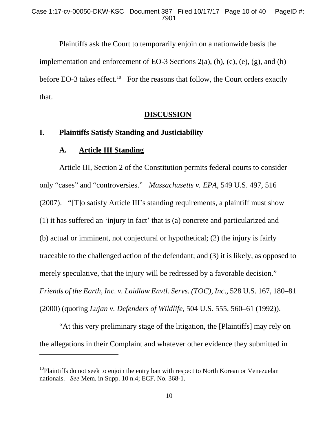Plaintiffs ask the Court to temporarily enjoin on a nationwide basis the implementation and enforcement of EO-3 Sections  $2(a)$ ,  $(b)$ ,  $(c)$ ,  $(e)$ ,  $(g)$ , and  $(h)$ before EO-3 takes effect.<sup>10</sup> For the reasons that follow, the Court orders exactly that.

### **DISCUSSION**

## **I. Plaintiffs Satisfy Standing and Justiciability**

#### **A. Article III Standing**

-

 Article III, Section 2 of the Constitution permits federal courts to consider only "cases" and "controversies." *Massachusetts v. EPA*, 549 U.S. 497, 516 (2007). "[T]o satisfy Article III's standing requirements, a plaintiff must show (1) it has suffered an 'injury in fact' that is (a) concrete and particularized and (b) actual or imminent, not conjectural or hypothetical; (2) the injury is fairly traceable to the challenged action of the defendant; and (3) it is likely, as opposed to merely speculative, that the injury will be redressed by a favorable decision." *Friends of the Earth, Inc. v. Laidlaw Envtl. Servs. (TOC), Inc*., 528 U.S. 167, 180–81 (2000) (quoting *Lujan v. Defenders of Wildlife*, 504 U.S. 555, 560–61 (1992)).

 "At this very preliminary stage of the litigation, the [Plaintiffs] may rely on the allegations in their Complaint and whatever other evidence they submitted in

 $10P$ laintiffs do not seek to enjoin the entry ban with respect to North Korean or Venezuelan nationals. *See* Mem. in Supp. 10 n.4; ECF. No. 368-1.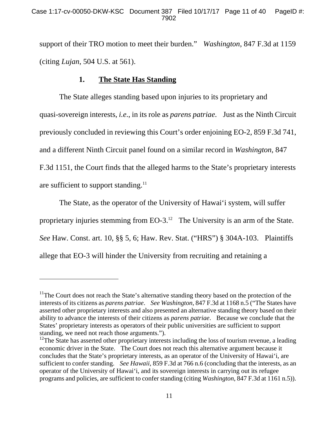support of their TRO motion to meet their burden." *Washington*, 847 F.3d at 1159 (citing *Lujan*, 504 U.S. at 561).

## **1. The State Has Standing**

 $\overline{a}$ 

 The State alleges standing based upon injuries to its proprietary and quasi-sovereign interests, *i.e*., in its role as *parens patriae*. Just as the Ninth Circuit previously concluded in reviewing this Court's order enjoining EO-2, 859 F.3d 741, and a different Ninth Circuit panel found on a similar record in *Washington*, 847 F.3d 1151, the Court finds that the alleged harms to the State's proprietary interests are sufficient to support standing. $11$ 

 The State, as the operator of the University of Hawai'i system, will suffer proprietary injuries stemming from  $EO-3$ .<sup>12</sup> The University is an arm of the State. *See* Haw. Const. art. 10, §§ 5, 6; Haw. Rev. Stat. ("HRS") § 304A-103. Plaintiffs allege that EO-3 will hinder the University from recruiting and retaining a

 $11$ The Court does not reach the State's alternative standing theory based on the protection of the interests of its citizens as *parens patriae*. *See Washington*, 847 F.3d at 1168 n.5 ("The States have asserted other proprietary interests and also presented an alternative standing theory based on their ability to advance the interests of their citizens as *parens patriae*. Because we conclude that the States' proprietary interests as operators of their public universities are sufficient to support standing, we need not reach those arguments.").

 $12$ The State has asserted other proprietary interests including the loss of tourism revenue, a leading economic driver in the State. The Court does not reach this alternative argument because it concludes that the State's proprietary interests, as an operator of the University of Hawai'i, are sufficient to confer standing. *See Hawaii*, 859 F.3d at 766 n.6 (concluding that the interests, as an operator of the University of Hawai'i, and its sovereign interests in carrying out its refugee programs and policies, are sufficient to confer standing (citing *Washington*, 847 F.3d at 1161 n.5)).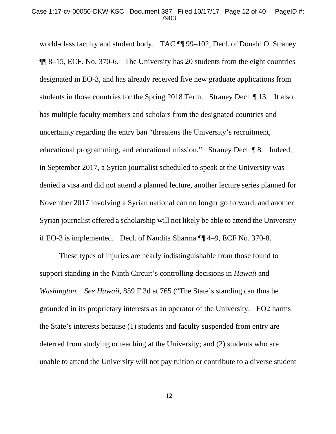world-class faculty and student body. TAC ¶¶ 99–102; Decl. of Donald O. Straney ¶¶ 8–15, ECF. No. 370-6. The University has 20 students from the eight countries designated in EO-3, and has already received five new graduate applications from students in those countries for the Spring 2018 Term. Straney Decl. ¶ 13. It also has multiple faculty members and scholars from the designated countries and uncertainty regarding the entry ban "threatens the University's recruitment, educational programming, and educational mission." Straney Decl. ¶ 8. Indeed, in September 2017, a Syrian journalist scheduled to speak at the University was denied a visa and did not attend a planned lecture, another lecture series planned for November 2017 involving a Syrian national can no longer go forward, and another Syrian journalist offered a scholarship will not likely be able to attend the University if EO-3 is implemented. Decl. of Nandita Sharma ¶¶ 4–9, ECF No. 370-8.

 These types of injuries are nearly indistinguishable from those found to support standing in the Ninth Circuit's controlling decisions in *Hawaii* and *Washington*. *See Hawaii*, 859 F.3d at 765 ("The State's standing can thus be grounded in its proprietary interests as an operator of the University. EO2 harms the State's interests because (1) students and faculty suspended from entry are deterred from studying or teaching at the University; and (2) students who are unable to attend the University will not pay tuition or contribute to a diverse student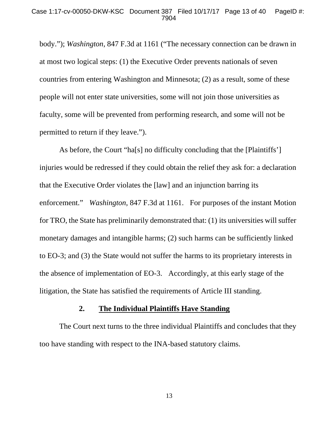body."); *Washington*, 847 F.3d at 1161 ("The necessary connection can be drawn in at most two logical steps: (1) the Executive Order prevents nationals of seven countries from entering Washington and Minnesota; (2) as a result, some of these people will not enter state universities, some will not join those universities as faculty, some will be prevented from performing research, and some will not be permitted to return if they leave.").

As before, the Court "ha[s] no difficulty concluding that the [Plaintiffs'] injuries would be redressed if they could obtain the relief they ask for: a declaration that the Executive Order violates the [law] and an injunction barring its enforcement." *Washington*, 847 F.3d at 1161. For purposes of the instant Motion for TRO, the State has preliminarily demonstrated that: (1) its universities will suffer monetary damages and intangible harms; (2) such harms can be sufficiently linked to EO-3; and (3) the State would not suffer the harms to its proprietary interests in the absence of implementation of EO-3. Accordingly, at this early stage of the litigation, the State has satisfied the requirements of Article III standing.

### **2. The Individual Plaintiffs Have Standing**

 The Court next turns to the three individual Plaintiffs and concludes that they too have standing with respect to the INA-based statutory claims.

13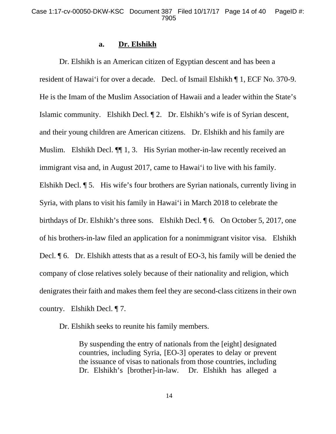#### **a. Dr. Elshikh**

 Dr. Elshikh is an American citizen of Egyptian descent and has been a resident of Hawai'i for over a decade. Decl. of Ismail Elshikh ¶ 1, ECF No. 370-9. He is the Imam of the Muslim Association of Hawaii and a leader within the State's Islamic community. Elshikh Decl. ¶ 2. Dr. Elshikh's wife is of Syrian descent, and their young children are American citizens. Dr. Elshikh and his family are Muslim. Elshikh Decl.  $\P$  1, 3. His Syrian mother-in-law recently received an immigrant visa and, in August 2017, came to Hawai'i to live with his family. Elshikh Decl. ¶ 5. His wife's four brothers are Syrian nationals, currently living in Syria, with plans to visit his family in Hawai'i in March 2018 to celebrate the birthdays of Dr. Elshikh's three sons. Elshikh Decl. ¶ 6. On October 5, 2017, one of his brothers-in-law filed an application for a nonimmigrant visitor visa. Elshikh Decl.  $\lceil \cdot 6 \rceil$ . Dr. Elshikh attests that as a result of EO-3, his family will be denied the company of close relatives solely because of their nationality and religion, which denigrates their faith and makes them feel they are second-class citizens in their own country. Elshikh Decl. ¶ 7.

Dr. Elshikh seeks to reunite his family members.

By suspending the entry of nationals from the [eight] designated countries, including Syria, [EO-3] operates to delay or prevent the issuance of visas to nationals from those countries, including Dr. Elshikh's [brother]-in-law. Dr. Elshikh has alleged a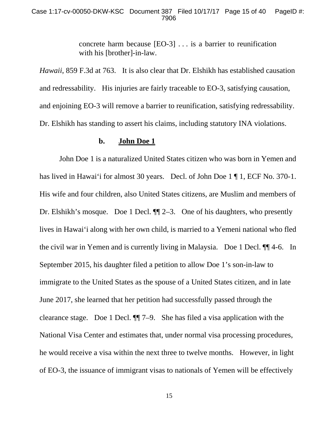concrete harm because [EO-3] . . . is a barrier to reunification with his [brother]-in-law.

*Hawaii*, 859 F.3d at 763. It is also clear that Dr. Elshikh has established causation and redressability. His injuries are fairly traceable to EO-3, satisfying causation, and enjoining EO-3 will remove a barrier to reunification, satisfying redressability. Dr. Elshikh has standing to assert his claims, including statutory INA violations.

#### **b. John Doe 1**

 John Doe 1 is a naturalized United States citizen who was born in Yemen and has lived in Hawai'i for almost 30 years. Decl. of John Doe 1 ¶ 1, ECF No. 370-1. His wife and four children, also United States citizens, are Muslim and members of Dr. Elshikh's mosque. Doe 1 Decl. ¶¶ 2–3. One of his daughters, who presently lives in Hawai'i along with her own child, is married to a Yemeni national who fled the civil war in Yemen and is currently living in Malaysia. Doe 1 Decl. ¶¶ 4-6. In September 2015, his daughter filed a petition to allow Doe 1's son-in-law to immigrate to the United States as the spouse of a United States citizen, and in late June 2017, she learned that her petition had successfully passed through the clearance stage. Doe 1 Decl. ¶¶ 7–9. She has filed a visa application with the National Visa Center and estimates that, under normal visa processing procedures, he would receive a visa within the next three to twelve months. However, in light of EO-3, the issuance of immigrant visas to nationals of Yemen will be effectively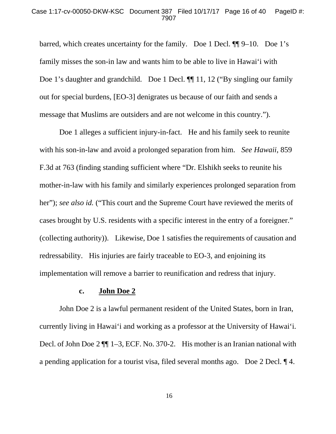barred, which creates uncertainty for the family. Doe 1 Decl. ¶¶ 9–10. Doe 1's family misses the son-in law and wants him to be able to live in Hawai'i with Doe 1's daughter and grandchild. Doe 1 Decl.  $\P$  11, 12 ("By singling our family out for special burdens, [EO-3] denigrates us because of our faith and sends a message that Muslims are outsiders and are not welcome in this country.").

 Doe 1 alleges a sufficient injury-in-fact. He and his family seek to reunite with his son-in-law and avoid a prolonged separation from him. *See Hawaii*, 859 F.3d at 763 (finding standing sufficient where "Dr. Elshikh seeks to reunite his mother-in-law with his family and similarly experiences prolonged separation from her"); *see also id.* ("This court and the Supreme Court have reviewed the merits of cases brought by U.S. residents with a specific interest in the entry of a foreigner." (collecting authority)). Likewise, Doe 1 satisfies the requirements of causation and redressability. His injuries are fairly traceable to EO-3, and enjoining its implementation will remove a barrier to reunification and redress that injury.

#### **c. John Doe 2**

 John Doe 2 is a lawful permanent resident of the United States, born in Iran, currently living in Hawai'i and working as a professor at the University of Hawai'i. Decl. of John Doe 2  $\P$  1–3, ECF. No. 370-2. His mother is an Iranian national with a pending application for a tourist visa, filed several months ago. Doe 2 Decl. ¶ 4.

16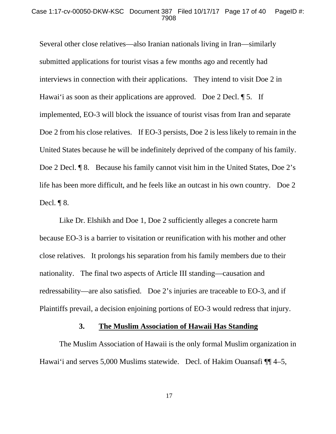Several other close relatives—also Iranian nationals living in Iran—similarly submitted applications for tourist visas a few months ago and recently had interviews in connection with their applications. They intend to visit Doe 2 in Hawai'i as soon as their applications are approved. Doe 2 Decl.  $\llbracket 5$ . If implemented, EO-3 will block the issuance of tourist visas from Iran and separate Doe 2 from his close relatives. If EO-3 persists, Doe 2 is less likely to remain in the United States because he will be indefinitely deprived of the company of his family. Doe 2 Decl. ¶ 8. Because his family cannot visit him in the United States, Doe 2's life has been more difficult, and he feels like an outcast in his own country. Doe 2 Decl.  $\P$ 8.

 Like Dr. Elshikh and Doe 1, Doe 2 sufficiently alleges a concrete harm because EO-3 is a barrier to visitation or reunification with his mother and other close relatives. It prolongs his separation from his family members due to their nationality. The final two aspects of Article III standing—causation and redressability—are also satisfied. Doe 2's injuries are traceable to EO-3, and if Plaintiffs prevail, a decision enjoining portions of EO-3 would redress that injury.

#### **3. The Muslim Association of Hawaii Has Standing**

 The Muslim Association of Hawaii is the only formal Muslim organization in Hawai'i and serves 5,000 Muslims statewide. Decl. of Hakim Ouansafi ¶ 4–5,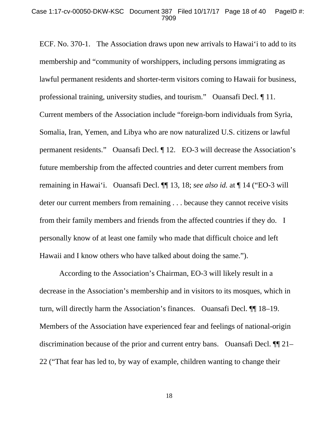ECF. No. 370-1. The Association draws upon new arrivals to Hawai'i to add to its membership and "community of worshippers, including persons immigrating as lawful permanent residents and shorter-term visitors coming to Hawaii for business, professional training, university studies, and tourism." Ouansafi Decl. ¶ 11. Current members of the Association include "foreign-born individuals from Syria, Somalia, Iran, Yemen, and Libya who are now naturalized U.S. citizens or lawful permanent residents." Ouansafi Decl. ¶ 12. EO-3 will decrease the Association's future membership from the affected countries and deter current members from remaining in Hawai'i. Ouansafi Decl. ¶¶ 13, 18; *see also id.* at ¶ 14 ("EO-3 will deter our current members from remaining . . . because they cannot receive visits from their family members and friends from the affected countries if they do. I personally know of at least one family who made that difficult choice and left Hawaii and I know others who have talked about doing the same.").

 According to the Association's Chairman, EO-3 will likely result in a decrease in the Association's membership and in visitors to its mosques, which in turn, will directly harm the Association's finances. Ouansafi Decl. ¶¶ 18–19. Members of the Association have experienced fear and feelings of national-origin discrimination because of the prior and current entry bans. Ouansafi Decl. ¶¶ 21– 22 ("That fear has led to, by way of example, children wanting to change their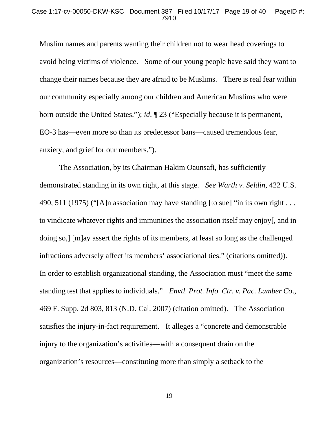#### Case 1:17-cv-00050-DKW-KSC Document 387 Filed 10/17/17 Page 19 of 40 PageID #: 7910

Muslim names and parents wanting their children not to wear head coverings to avoid being victims of violence. Some of our young people have said they want to change their names because they are afraid to be Muslims. There is real fear within our community especially among our children and American Muslims who were born outside the United States."); *id*. ¶ 23 ("Especially because it is permanent, EO-3 has—even more so than its predecessor bans—caused tremendous fear, anxiety, and grief for our members.").

 The Association, by its Chairman Hakim Oaunsafi, has sufficiently demonstrated standing in its own right, at this stage. *See Warth v. Seldin*, 422 U.S. 490, 511 (1975) ("[A]n association may have standing [to sue] "in its own right  $\dots$ to vindicate whatever rights and immunities the association itself may enjoy[, and in doing so,] [m]ay assert the rights of its members, at least so long as the challenged infractions adversely affect its members' associational ties." (citations omitted)). In order to establish organizational standing, the Association must "meet the same standing test that applies to individuals." *Envtl. Prot. Info. Ctr. v. Pac. Lumber Co*., 469 F. Supp. 2d 803, 813 (N.D. Cal. 2007) (citation omitted). The Association satisfies the injury-in-fact requirement. It alleges a "concrete and demonstrable injury to the organization's activities—with a consequent drain on the organization's resources—constituting more than simply a setback to the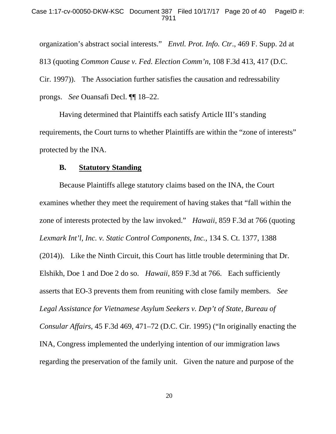organization's abstract social interests." *Envtl. Prot. Info. Ctr*., 469 F. Supp. 2d at 813 (quoting *Common Cause v. Fed. Election Comm'n*, 108 F.3d 413, 417 (D.C. Cir. 1997)). The Association further satisfies the causation and redressability prongs. *See* Ouansafi Decl. ¶¶ 18–22.

 Having determined that Plaintiffs each satisfy Article III's standing requirements, the Court turns to whether Plaintiffs are within the "zone of interests" protected by the INA.

### **B. Statutory Standing**

 Because Plaintiffs allege statutory claims based on the INA, the Court examines whether they meet the requirement of having stakes that "fall within the zone of interests protected by the law invoked." *Hawaii*, 859 F.3d at 766 (quoting *Lexmark Int'l, Inc. v. Static Control Components, Inc.*, 134 S. Ct. 1377, 1388 (2014)). Like the Ninth Circuit, this Court has little trouble determining that Dr. Elshikh, Doe 1 and Doe 2 do so. *Hawaii*, 859 F.3d at 766. Each sufficiently asserts that EO-3 prevents them from reuniting with close family members. *See Legal Assistance for Vietnamese Asylum Seekers v. Dep't of State, Bureau of Consular Affairs*, 45 F.3d 469, 471–72 (D.C. Cir. 1995) ("In originally enacting the INA, Congress implemented the underlying intention of our immigration laws regarding the preservation of the family unit. Given the nature and purpose of the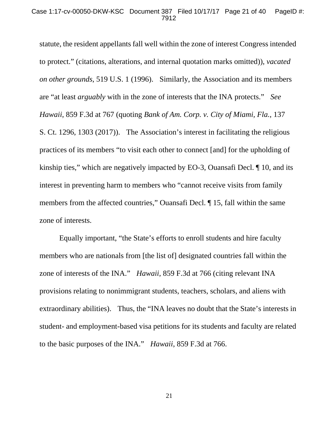statute, the resident appellants fall well within the zone of interest Congress intended to protect." (citations, alterations, and internal quotation marks omitted)), *vacated on other grounds*, 519 U.S. 1 (1996). Similarly, the Association and its members are "at least *arguably* with in the zone of interests that the INA protects." *See Hawaii*, 859 F.3d at 767 (quoting *Bank of Am. Corp. v. City of Miami, Fla.*, 137 S. Ct. 1296, 1303 (2017)). The Association's interest in facilitating the religious practices of its members "to visit each other to connect [and] for the upholding of kinship ties," which are negatively impacted by EO-3, Ouansafi Decl. ¶ 10, and its interest in preventing harm to members who "cannot receive visits from family members from the affected countries," Ouansafi Decl. ¶ 15, fall within the same zone of interests.

 Equally important, "the State's efforts to enroll students and hire faculty members who are nationals from [the list of] designated countries fall within the zone of interests of the INA." *Hawaii*, 859 F.3d at 766 (citing relevant INA provisions relating to nonimmigrant students, teachers, scholars, and aliens with extraordinary abilities). Thus, the "INA leaves no doubt that the State's interests in student- and employment-based visa petitions for its students and faculty are related to the basic purposes of the INA." *Hawaii*, 859 F.3d at 766.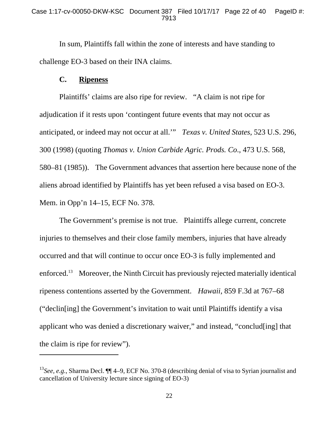In sum, Plaintiffs fall within the zone of interests and have standing to challenge EO-3 based on their INA claims.

### **C. Ripeness**

-

 Plaintiffs' claims are also ripe for review. "A claim is not ripe for adjudication if it rests upon 'contingent future events that may not occur as anticipated, or indeed may not occur at all.'" *Texas v. United States*, 523 U.S. 296, 300 (1998) (quoting *Thomas v. Union Carbide Agric. Prods. Co*., 473 U.S. 568, 580–81 (1985)). The Government advances that assertion here because none of the aliens abroad identified by Plaintiffs has yet been refused a visa based on EO-3. Mem. in Opp'n 14–15, ECF No. 378.

 The Government's premise is not true. Plaintiffs allege current, concrete injuries to themselves and their close family members, injuries that have already occurred and that will continue to occur once EO-3 is fully implemented and enforced.13 Moreover, the Ninth Circuit has previously rejected materially identical ripeness contentions asserted by the Government. *Hawaii*, 859 F.3d at 767–68 ("declin[ing] the Government's invitation to wait until Plaintiffs identify a visa applicant who was denied a discretionary waiver," and instead, "conclud[ing] that the claim is ripe for review").

<sup>13</sup>*See, e.g.*, Sharma Decl. ¶¶ 4–9, ECF No. 370-8 (describing denial of visa to Syrian journalist and cancellation of University lecture since signing of EO-3)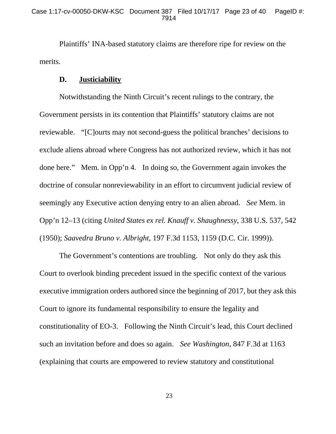Plaintiffs' INA-based statutory claims are therefore ripe for review on the merits.

### **D. Justiciability**

 Notwithstanding the Ninth Circuit's recent rulings to the contrary, the Government persists in its contention that Plaintiffs' statutory claims are not reviewable. "[C]ourts may not second-guess the political branches' decisions to exclude aliens abroad where Congress has not authorized review, which it has not done here." Mem. in Opp'n 4. In doing so, the Government again invokes the doctrine of consular nonreviewability in an effort to circumvent judicial review of seemingly any Executive action denying entry to an alien abroad. *See* Mem. in Opp'n 12–13 (citing *United States ex rel. Knauff v. Shaughnessy*, 338 U.S. 537, 542 (1950); *Saavedra Bruno v. Albright*, 197 F.3d 1153, 1159 (D.C. Cir. 1999)).

 The Government's contentions are troubling. Not only do they ask this Court to overlook binding precedent issued in the specific context of the various executive immigration orders authored since the beginning of 2017, but they ask this Court to ignore its fundamental responsibility to ensure the legality and constitutionality of EO-3. Following the Ninth Circuit's lead, this Court declined such an invitation before and does so again. *See Washington*, 847 F.3d at 1163 (explaining that courts are empowered to review statutory and constitutional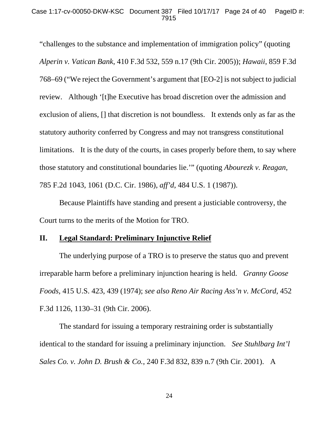"challenges to the substance and implementation of immigration policy" (quoting *Alperin v. Vatican Bank*, 410 F.3d 532, 559 n.17 (9th Cir. 2005)); *Hawaii*, 859 F.3d 768–69 ("We reject the Government's argument that [EO-2] is not subject to judicial review. Although '[t]he Executive has broad discretion over the admission and exclusion of aliens, [] that discretion is not boundless. It extends only as far as the statutory authority conferred by Congress and may not transgress constitutional limitations. It is the duty of the courts, in cases properly before them, to say where those statutory and constitutional boundaries lie.'" (quoting *Abourezk v. Reagan*, 785 F.2d 1043, 1061 (D.C. Cir. 1986), *aff'd*, 484 U.S. 1 (1987)).

 Because Plaintiffs have standing and present a justiciable controversy, the Court turns to the merits of the Motion for TRO.

## **II. Legal Standard: Preliminary Injunctive Relief**

 The underlying purpose of a TRO is to preserve the status quo and prevent irreparable harm before a preliminary injunction hearing is held. *Granny Goose Foods*, 415 U.S. 423, 439 (1974); *see also Reno Air Racing Ass'n v. McCord*, 452 F.3d 1126, 1130–31 (9th Cir. 2006).

 The standard for issuing a temporary restraining order is substantially identical to the standard for issuing a preliminary injunction. *See Stuhlbarg Int'l Sales Co. v. John D. Brush & Co.*, 240 F.3d 832, 839 n.7 (9th Cir. 2001). A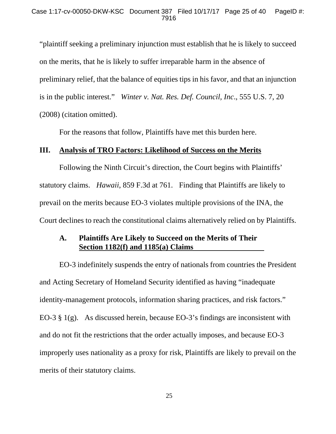"plaintiff seeking a preliminary injunction must establish that he is likely to succeed on the merits, that he is likely to suffer irreparable harm in the absence of preliminary relief, that the balance of equities tips in his favor, and that an injunction is in the public interest." *Winter v. Nat. Res. Def. Council, Inc*., 555 U.S. 7, 20 (2008) (citation omitted).

For the reasons that follow, Plaintiffs have met this burden here.

### **III. Analysis of TRO Factors: Likelihood of Success on the Merits**

 Following the Ninth Circuit's direction, the Court begins with Plaintiffs' statutory claims. *Hawaii*, 859 F.3d at 761. Finding that Plaintiffs are likely to prevail on the merits because EO-3 violates multiple provisions of the INA, the Court declines to reach the constitutional claims alternatively relied on by Plaintiffs.

## **A. Plaintiffs Are Likely to Succeed on the Merits of Their Section 1182(f) and 1185(a) Claims**

 EO-3 indefinitely suspends the entry of nationals from countries the President and Acting Secretary of Homeland Security identified as having "inadequate identity-management protocols, information sharing practices, and risk factors." EO-3  $\S$  1(g). As discussed herein, because EO-3's findings are inconsistent with and do not fit the restrictions that the order actually imposes, and because EO-3 improperly uses nationality as a proxy for risk, Plaintiffs are likely to prevail on the merits of their statutory claims.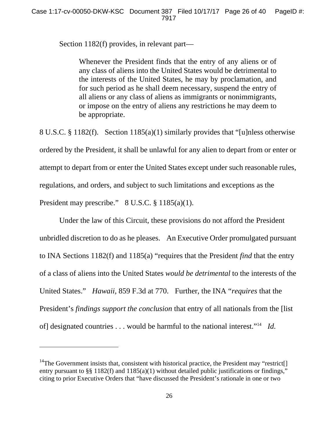Section 1182(f) provides, in relevant part—

Whenever the President finds that the entry of any aliens or of any class of aliens into the United States would be detrimental to the interests of the United States, he may by proclamation, and for such period as he shall deem necessary, suspend the entry of all aliens or any class of aliens as immigrants or nonimmigrants, or impose on the entry of aliens any restrictions he may deem to be appropriate.

8 U.S.C. § 1182(f). Section 1185(a)(1) similarly provides that "[u]nless otherwise ordered by the President, it shall be unlawful for any alien to depart from or enter or attempt to depart from or enter the United States except under such reasonable rules, regulations, and orders, and subject to such limitations and exceptions as the President may prescribe." 8 U.S.C. § 1185(a)(1).

 Under the law of this Circuit, these provisions do not afford the President unbridled discretion to do as he pleases. An Executive Order promulgated pursuant to INA Sections 1182(f) and 1185(a) "requires that the President *find* that the entry of a class of aliens into the United States *would be detrimental* to the interests of the United States." *Hawaii*, 859 F.3d at 770. Further, the INA "*requires* that the President's *findings support the conclusion* that entry of all nationals from the [list of] designated countries . . . would be harmful to the national interest."14 *Id.*

l

<sup>&</sup>lt;sup>14</sup>The Government insists that, consistent with historical practice, the President may "restrict. entry pursuant to §§ 1182(f) and 1185(a)(1) without detailed public justifications or findings," citing to prior Executive Orders that "have discussed the President's rationale in one or two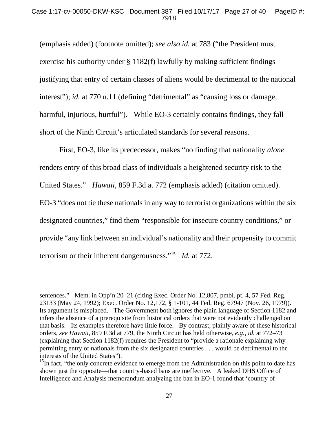#### Case 1:17-cv-00050-DKW-KSC Document 387 Filed 10/17/17 Page 27 of 40 PageID #: 7918

(emphasis added) (footnote omitted); *see also id.* at 783 ("the President must exercise his authority under § 1182(f) lawfully by making sufficient findings justifying that entry of certain classes of aliens would be detrimental to the national interest"); *id.* at 770 n.11 (defining "detrimental" as "causing loss or damage, harmful, injurious, hurtful"). While EO-3 certainly contains findings, they fall short of the Ninth Circuit's articulated standards for several reasons.

 First, EO-3, like its predecessor, makes "no finding that nationality *alone*  renders entry of this broad class of individuals a heightened security risk to the United States." *Hawaii*, 859 F.3d at 772 (emphasis added) (citation omitted). EO-3 "does not tie these nationals in any way to terrorist organizations within the six designated countries," find them "responsible for insecure country conditions," or provide "any link between an individual's nationality and their propensity to commit terrorism or their inherent dangerousness."15 *Id.* at 772.

 $\overline{a}$ 

sentences." Mem. in Opp'n 20–21 (citing Exec. Order No. 12,807, pmbl. pt. 4, 57 Fed. Reg. 23133 (May 24, 1992); Exec. Order No. 12,172, § 1-101, 44 Fed. Reg. 67947 (Nov. 26, 1979)). Its argument is misplaced. The Government both ignores the plain language of Section 1182 and infers the absence of a prerequisite from historical orders that were not evidently challenged on that basis. Its examples therefore have little force. By contrast, plainly aware of these historical orders, *see Hawaii*, 859 F.3d at 779, the Ninth Circuit has held otherwise, *e.g.*, *id.* at 772–73 (explaining that Section 1182(f) requires the President to "provide a rationale explaining why permitting entry of nationals from the six designated countries . . . would be detrimental to the interests of the United States").

<sup>&</sup>lt;sup>15</sup>In fact, "the only concrete evidence to emerge from the Administration on this point to date has shown just the opposite—that country-based bans are ineffective. A leaked DHS Office of Intelligence and Analysis memorandum analyzing the ban in EO-1 found that 'country of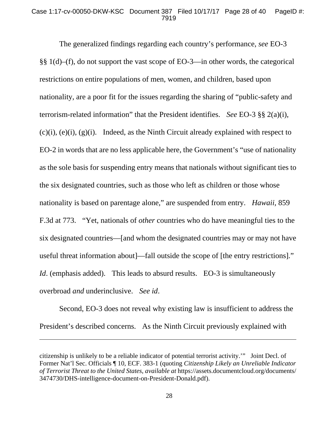#### Case 1:17-cv-00050-DKW-KSC Document 387 Filed 10/17/17 Page 28 of 40 PageID #: 7919

 The generalized findings regarding each country's performance, *see* EO-3 §§ 1(d)–(f), do not support the vast scope of EO-3—in other words, the categorical restrictions on entire populations of men, women, and children, based upon nationality, are a poor fit for the issues regarding the sharing of "public-safety and terrorism-related information" that the President identifies. *See* EO-3 §§ 2(a)(i),  $(c)(i)$ ,  $(e)(i)$ ,  $(g)(i)$ . Indeed, as the Ninth Circuit already explained with respect to EO-2 in words that are no less applicable here, the Government's "use of nationality as the sole basis for suspending entry means that nationals without significant ties to the six designated countries, such as those who left as children or those whose nationality is based on parentage alone," are suspended from entry. *Hawaii*, 859 F.3d at 773. "Yet, nationals of *other* countries who do have meaningful ties to the six designated countries—[and whom the designated countries may or may not have useful threat information about]—fall outside the scope of [the entry restrictions]." *Id.* (emphasis added). This leads to absurd results. EO-3 is simultaneously overbroad *and* underinclusive. *See id*.

 Second, EO-3 does not reveal why existing law is insufficient to address the President's described concerns. As the Ninth Circuit previously explained with

 $\overline{a}$ 

citizenship is unlikely to be a reliable indicator of potential terrorist activity.'" Joint Decl. of Former Nat'l Sec. Officials ¶ 10, ECF. 383-1 (quoting *Citizenship Likely an Unreliable Indicator of Terrorist Threat to the United States*, *available at* https://assets.documentcloud.org/documents/ 3474730/DHS-intelligence-document-on-President-Donald.pdf).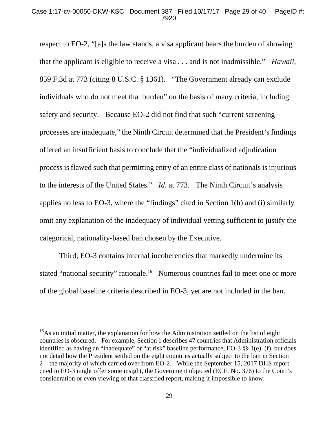respect to EO-2, "[a]s the law stands, a visa applicant bears the burden of showing that the applicant is eligible to receive a visa . . . and is not inadmissible." *Hawaii,* 859 F.3d at 773 (citing 8 U.S.C. § 1361). "The Government already can exclude individuals who do not meet that burden" on the basis of many criteria, including safety and security. Because EO-2 did not find that such "current screening processes are inadequate," the Ninth Circuit determined that the President's findings offered an insufficient basis to conclude that the "individualized adjudication process is flawed such that permitting entry of an entire class of nationals is injurious to the interests of the United States." *Id*. at 773. The Ninth Circuit's analysis applies no less to EO-3, where the "findings" cited in Section 1(h) and (i) similarly omit any explanation of the inadequacy of individual vetting sufficient to justify the categorical, nationality-based ban chosen by the Executive.

 Third, EO-3 contains internal incoherencies that markedly undermine its stated "national security" rationale.<sup>16</sup> Numerous countries fail to meet one or more of the global baseline criteria described in EO-3, yet are not included in the ban.

-

 $16\text{As}$  an initial matter, the explanation for how the Administration settled on the list of eight countries is obscured. For example, Section 1 describes 47 countries that Administration officials identified as having an "inadequate" or "at risk" baseline performance, EO-3 §§ 1(e)–(f), but does not detail how the President settled on the eight countries actually subject to the ban in Section 2—the majority of which carried over from EO-2. While the September 15, 2017 DHS report cited in EO-3 might offer some insight, the Government objected (ECF. No. 376) to the Court's consideration or even viewing of that classified report, making it impossible to know.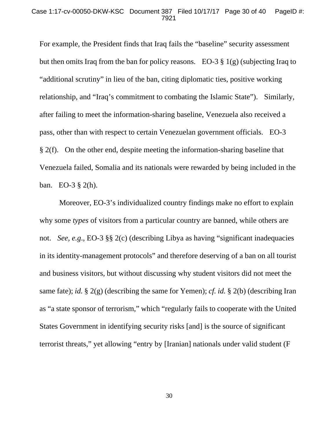#### Case 1:17-cv-00050-DKW-KSC Document 387 Filed 10/17/17 Page 30 of 40 PageID #: 7921

For example, the President finds that Iraq fails the "baseline" security assessment but then omits Iraq from the ban for policy reasons. EO-3 § 1(g) (subjecting Iraq to "additional scrutiny" in lieu of the ban, citing diplomatic ties, positive working relationship, and "Iraq's commitment to combating the Islamic State"). Similarly, after failing to meet the information-sharing baseline, Venezuela also received a pass, other than with respect to certain Venezuelan government officials. EO-3 § 2(f). On the other end, despite meeting the information-sharing baseline that Venezuela failed, Somalia and its nationals were rewarded by being included in the ban. EO-3 § 2(h).

 Moreover, EO-3's individualized country findings make no effort to explain why some *types* of visitors from a particular country are banned, while others are not. *See, e.g*., EO-3 §§ 2(c) (describing Libya as having "significant inadequacies in its identity-management protocols" and therefore deserving of a ban on all tourist and business visitors, but without discussing why student visitors did not meet the same fate); *id.* § 2(g) (describing the same for Yemen); *cf. id.* § 2(b) (describing Iran as "a state sponsor of terrorism," which "regularly fails to cooperate with the United States Government in identifying security risks [and] is the source of significant terrorist threats," yet allowing "entry by [Iranian] nationals under valid student (F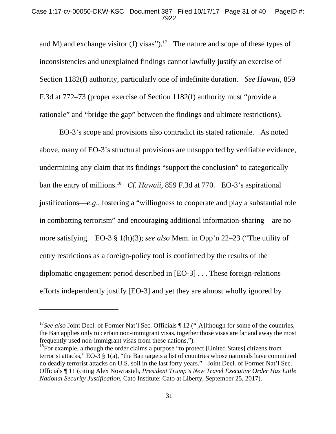and M) and exchange visitor (J) visas").<sup>17</sup> The nature and scope of these types of inconsistencies and unexplained findings cannot lawfully justify an exercise of Section 1182(f) authority, particularly one of indefinite duration. *See Hawaii*, 859 F.3d at 772–73 (proper exercise of Section 1182(f) authority must "provide a rationale" and "bridge the gap" between the findings and ultimate restrictions).

 EO-3's scope and provisions also contradict its stated rationale. As noted above, many of EO-3's structural provisions are unsupported by verifiable evidence, undermining any claim that its findings "support the conclusion" to categorically ban the entry of millions.18 *Cf*. *Hawaii*, 859 F.3d at 770. EO-3's aspirational justifications—*e.g*., fostering a "willingness to cooperate and play a substantial role in combatting terrorism" and encouraging additional information-sharing—are no more satisfying. EO-3 § 1(h)(3); *see also* Mem. in Opp'n 22–23 ("The utility of entry restrictions as a foreign-policy tool is confirmed by the results of the diplomatic engagement period described in [EO-3] . . . These foreign-relations efforts independently justify [EO-3] and yet they are almost wholly ignored by

l

<sup>&</sup>lt;sup>17</sup>See also Joint Decl. of Former Nat'l Sec. Officials ¶ 12 ("[A]lthough for some of the countries, the Ban applies only to certain non-immigrant visas, together those visas are far and away the most frequently used non-immigrant visas from these nations.").

<sup>&</sup>lt;sup>18</sup>For example, although the order claims a purpose "to protect [United States] citizens from terrorist attacks," EO-3 § 1(a), "the Ban targets a list of countries whose nationals have committed no deadly terrorist attacks on U.S. soil in the last forty years." Joint Decl. of Former Nat'l Sec. Officials ¶ 11 (citing Alex Nowrasteh, *President Trump's New Travel Executive Order Has Little National Security Justification*, Cato Institute: Cato at Liberty, September 25, 2017).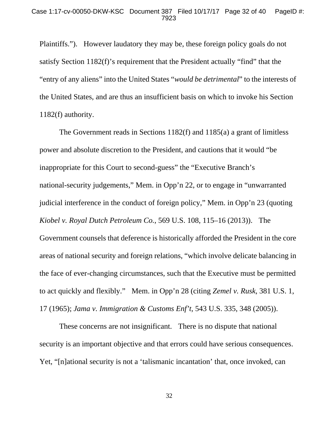Plaintiffs."). However laudatory they may be, these foreign policy goals do not satisfy Section 1182(f)'s requirement that the President actually "find" that the "entry of any aliens" into the United States "*would be detrimental*" to the interests of the United States, and are thus an insufficient basis on which to invoke his Section 1182(f) authority.

 The Government reads in Sections 1182(f) and 1185(a) a grant of limitless power and absolute discretion to the President, and cautions that it would "be inappropriate for this Court to second-guess" the "Executive Branch's national-security judgements," Mem. in Opp'n 22, or to engage in "unwarranted judicial interference in the conduct of foreign policy," Mem. in Opp'n 23 (quoting *Kiobel v. Royal Dutch Petroleum Co.*, 569 U.S. 108, 115–16 (2013)). The Government counsels that deference is historically afforded the President in the core areas of national security and foreign relations, "which involve delicate balancing in the face of ever-changing circumstances, such that the Executive must be permitted to act quickly and flexibly." Mem. in Opp'n 28 (citing *Zemel v. Rusk*, 381 U.S. 1, 17 (1965); *Jama v. Immigration & Customs Enf't*, 543 U.S. 335, 348 (2005)).

 These concerns are not insignificant. There is no dispute that national security is an important objective and that errors could have serious consequences. Yet, "[n]ational security is not a 'talismanic incantation' that, once invoked, can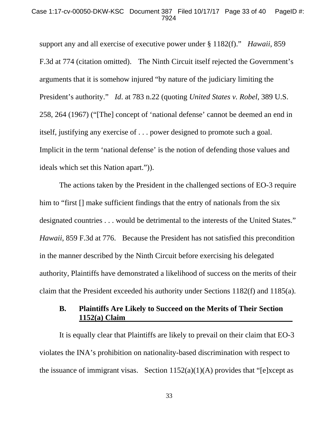support any and all exercise of executive power under § 1182(f)." *Hawaii*, 859 F.3d at 774 (citation omitted). The Ninth Circuit itself rejected the Government's arguments that it is somehow injured "by nature of the judiciary limiting the President's authority." *Id*. at 783 n.22 (quoting *United States v. Robel*, 389 U.S. 258, 264 (1967) ("[The] concept of 'national defense' cannot be deemed an end in itself, justifying any exercise of . . . power designed to promote such a goal. Implicit in the term 'national defense' is the notion of defending those values and ideals which set this Nation apart.")).

 The actions taken by the President in the challenged sections of EO-3 require him to "first  $\iint$  make sufficient findings that the entry of nationals from the six designated countries . . . would be detrimental to the interests of the United States." *Hawaii*, 859 F.3d at 776. Because the President has not satisfied this precondition in the manner described by the Ninth Circuit before exercising his delegated authority, Plaintiffs have demonstrated a likelihood of success on the merits of their claim that the President exceeded his authority under Sections 1182(f) and 1185(a).

## **B. Plaintiffs Are Likely to Succeed on the Merits of Their Section 1152(a) Claim**

 It is equally clear that Plaintiffs are likely to prevail on their claim that EO-3 violates the INA's prohibition on nationality-based discrimination with respect to the issuance of immigrant visas. Section  $1152(a)(1)(A)$  provides that "[e]xcept as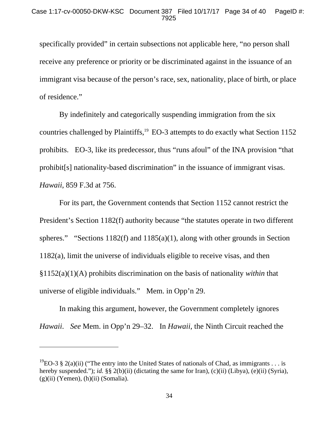specifically provided" in certain subsections not applicable here, "no person shall receive any preference or priority or be discriminated against in the issuance of an immigrant visa because of the person's race, sex, nationality, place of birth, or place of residence."

By indefinitely and categorically suspending immigration from the six countries challenged by Plaintiffs,<sup>19</sup> EO-3 attempts to do exactly what Section 1152 prohibits. EO-3, like its predecessor, thus "runs afoul" of the INA provision "that prohibit[s] nationality-based discrimination" in the issuance of immigrant visas. *Hawaii*, 859 F.3d at 756.

For its part, the Government contends that Section 1152 cannot restrict the President's Section 1182(f) authority because "the statutes operate in two different spheres." "Sections 1182(f) and 1185(a)(1), along with other grounds in Section 1182(a), limit the universe of individuals eligible to receive visas, and then §1152(a)(1)(A) prohibits discrimination on the basis of nationality *within* that universe of eligible individuals." Mem. in Opp'n 29.

In making this argument, however, the Government completely ignores *Hawaii*. *See* Mem. in Opp'n 29–32. In *Hawaii*, the Ninth Circuit reached the

 $\overline{a}$ 

<sup>&</sup>lt;sup>19</sup>EO-3 § 2(a)(ii) ("The entry into the United States of nationals of Chad, as immigrants . . . is hereby suspended."); *id.* §§ 2(b)(ii) (dictating the same for Iran), (c)(ii) (Libya), (e)(ii) (Syria),  $(g)(ii)$  (Yemen),  $(h)(ii)$  (Somalia).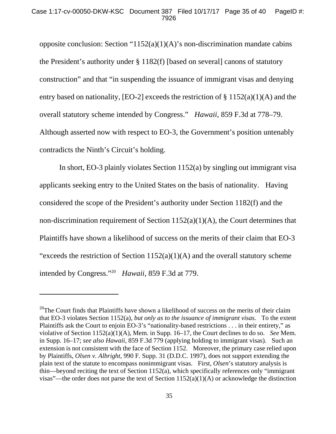opposite conclusion: Section "1152(a)(1)(A)'s non-discrimination mandate cabins the President's authority under § 1182(f) [based on several] canons of statutory construction" and that "in suspending the issuance of immigrant visas and denying entry based on nationality, [EO-2] exceeds the restriction of  $\S$  1152(a)(1)(A) and the overall statutory scheme intended by Congress." *Hawaii*, 859 F.3d at 778–79. Although asserted now with respect to EO-3, the Government's position untenably contradicts the Ninth's Circuit's holding.

In short, EO-3 plainly violates Section 1152(a) by singling out immigrant visa applicants seeking entry to the United States on the basis of nationality. Having considered the scope of the President's authority under Section 1182(f) and the non-discrimination requirement of Section 1152(a)(1)(A), the Court determines that Plaintiffs have shown a likelihood of success on the merits of their claim that EO-3 "exceeds the restriction of Section  $1152(a)(1)(A)$  and the overall statutory scheme intended by Congress."20 *Hawaii*, 859 F.3d at 779.

-

 $20$ The Court finds that Plaintiffs have shown a likelihood of success on the merits of their claim that EO-3 violates Section 1152(a), *but only as to the issuance of immigrant visas*. To the extent Plaintiffs ask the Court to enjoin EO-3's "nationality-based restrictions . . . in their entirety," as violative of Section 1152(a)(1)(A), Mem. in Supp. 16–17, the Court declines to do so. *See* Mem. in Supp. 16–17; *see also Hawaii*, 859 F.3d 779 (applying holding to immigrant visas). Such an extension is not consistent with the face of Section 1152. Moreover, the primary case relied upon by Plaintiffs, *Olsen v. Albright*, 990 F. Supp. 31 (D.D.C. 1997), does not support extending the plain text of the statute to encompass nonimmigrant visas. First, *Olsen*'s statutory analysis is thin—beyond reciting the text of Section 1152(a), which specifically references only "immigrant visas"—the order does not parse the text of Section  $1152(a)(1)(A)$  or acknowledge the distinction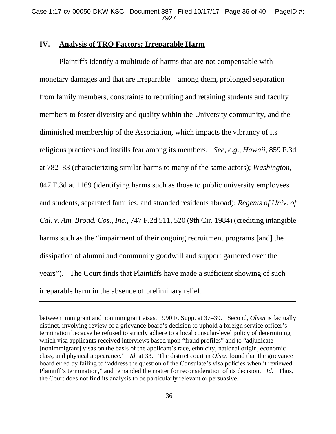## **IV. Analysis of TRO Factors: Irreparable Harm**

-

 Plaintiffs identify a multitude of harms that are not compensable with monetary damages and that are irreparable—among them, prolonged separation from family members, constraints to recruiting and retaining students and faculty members to foster diversity and quality within the University community, and the diminished membership of the Association, which impacts the vibrancy of its religious practices and instills fear among its members. *See, e.g*., *Hawaii*, 859 F.3d at 782–83 (characterizing similar harms to many of the same actors); *Washington*, 847 F.3d at 1169 (identifying harms such as those to public university employees and students, separated families, and stranded residents abroad); *Regents of Univ. of Cal. v. Am. Broad. Cos., Inc*., 747 F.2d 511, 520 (9th Cir. 1984) (crediting intangible harms such as the "impairment of their ongoing recruitment programs [and] the dissipation of alumni and community goodwill and support garnered over the years"). The Court finds that Plaintiffs have made a sufficient showing of such irreparable harm in the absence of preliminary relief.

between immigrant and nonimmigrant visas. 990 F. Supp. at 37–39. Second, *Olsen* is factually distinct, involving review of a grievance board's decision to uphold a foreign service officer's termination because he refused to strictly adhere to a local consular-level policy of determining which visa applicants received interviews based upon "fraud profiles" and to "adjudicate [nonimmigrant] visas on the basis of the applicant's race, ethnicity, national origin, economic class, and physical appearance." *Id*. at 33. The district court in *Olsen* found that the grievance board erred by failing to "address the question of the Consulate's visa policies when it reviewed Plaintiff's termination," and remanded the matter for reconsideration of its decision. *Id*. Thus, the Court does not find its analysis to be particularly relevant or persuasive.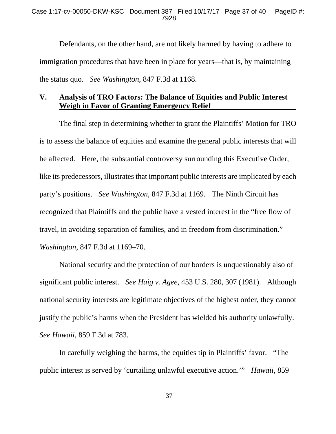Defendants, on the other hand, are not likely harmed by having to adhere to immigration procedures that have been in place for years—that is, by maintaining the status quo. *See Washington*, 847 F.3d at 1168.

## **V. Analysis of TRO Factors: The Balance of Equities and Public Interest Weigh in Favor of Granting Emergency Relief**

The final step in determining whether to grant the Plaintiffs' Motion for TRO is to assess the balance of equities and examine the general public interests that will be affected. Here, the substantial controversy surrounding this Executive Order, like its predecessors, illustrates that important public interests are implicated by each party's positions. *See Washington*, 847 F.3d at 1169. The Ninth Circuit has recognized that Plaintiffs and the public have a vested interest in the "free flow of travel, in avoiding separation of families, and in freedom from discrimination." *Washington*, 847 F.3d at 1169–70.

National security and the protection of our borders is unquestionably also of significant public interest. *See Haig v. Agee*, 453 U.S. 280, 307 (1981). Although national security interests are legitimate objectives of the highest order, they cannot justify the public's harms when the President has wielded his authority unlawfully. *See Hawaii*, 859 F.3d at 783.

In carefully weighing the harms, the equities tip in Plaintiffs' favor. "The public interest is served by 'curtailing unlawful executive action.'" *Hawaii*, 859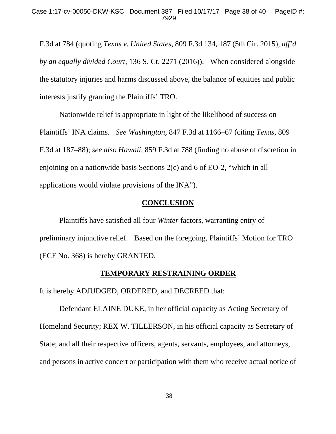F.3d at 784 (quoting *Texas v. United States*, 809 F.3d 134, 187 (5th Cir. 2015), *aff'd by an equally divided Court*, 136 S. Ct. 2271 (2016)). When considered alongside the statutory injuries and harms discussed above, the balance of equities and public interests justify granting the Plaintiffs' TRO.

Nationwide relief is appropriate in light of the likelihood of success on Plaintiffs' INA claims. *See Washington*, 847 F.3d at 1166–67 (citing *Texas*, 809 F.3d at 187–88); *see also Hawaii*, 859 F.3d at 788 (finding no abuse of discretion in enjoining on a nationwide basis Sections 2(c) and 6 of EO-2, "which in all applications would violate provisions of the INA").

## **CONCLUSION**

 Plaintiffs have satisfied all four *Winter* factors, warranting entry of preliminary injunctive relief. Based on the foregoing, Plaintiffs' Motion for TRO (ECF No. 368) is hereby GRANTED.

### **TEMPORARY RESTRAINING ORDER**

It is hereby ADJUDGED, ORDERED, and DECREED that:

 Defendant ELAINE DUKE, in her official capacity as Acting Secretary of Homeland Security; REX W. TILLERSON, in his official capacity as Secretary of State; and all their respective officers, agents, servants, employees, and attorneys, and persons in active concert or participation with them who receive actual notice of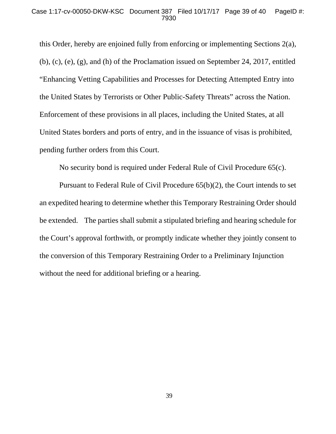this Order, hereby are enjoined fully from enforcing or implementing Sections 2(a), (b), (c), (e), (g), and (h) of the Proclamation issued on September 24, 2017, entitled "Enhancing Vetting Capabilities and Processes for Detecting Attempted Entry into the United States by Terrorists or Other Public-Safety Threats" across the Nation. Enforcement of these provisions in all places, including the United States, at all United States borders and ports of entry, and in the issuance of visas is prohibited, pending further orders from this Court.

No security bond is required under Federal Rule of Civil Procedure 65(c).

 Pursuant to Federal Rule of Civil Procedure 65(b)(2), the Court intends to set an expedited hearing to determine whether this Temporary Restraining Order should be extended. The parties shall submit a stipulated briefing and hearing schedule for the Court's approval forthwith, or promptly indicate whether they jointly consent to the conversion of this Temporary Restraining Order to a Preliminary Injunction without the need for additional briefing or a hearing.